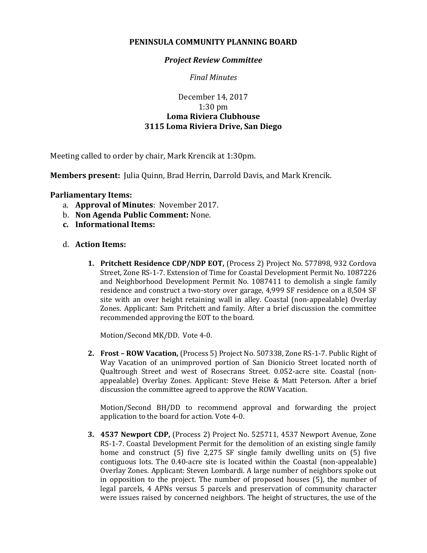## **PENINSULA COMMUNITY PLANNING BOARD**

## *Project Review Committee*

*Final Minutes*

## December 14, 2017 1:30 pm **Loma Riviera Clubhouse 3115 Loma Riviera Drive, San Diego**

Meeting called to order by chair, Mark Krencik at 1:30pm.

**Members present:** Julia Quinn, Brad Herrin, Darrold Davis, and Mark Krencik.

## **Parliamentary Items:**

- a. **Approval of Minutes**: November 2017.
- b. **Non Agenda Public Comment:** None.
- **c. Informational Items:**
- d. **Action Items:**
	- **1. Pritchett Residence CDP/NDP EOT,** (Process 2) Project No. 577898, 932 Cordova Street, Zone RS-1-7. Extension of Time for Coastal Development Permit No. 1087226 and Neighborhood Development Permit No. 1087411 to demolish a single family residence and construct a two-story over garage, 4,999 SF residence on a 8,504 SF site with an over height retaining wall in alley. Coastal (non-appealable) Overlay Zones. Applicant: Sam Pritchett and family. After a brief discussion the committee recommended approving the EOT to the board.

Motion/Second MK/DD. Vote 4-0.

**2. Frost – ROW Vacation,** (Process 5) Project No. 507338, Zone RS-1-7. Public Right of Way Vacation of an unimproved portion of San Dionicio Street located north of Qualtrough Street and west of Rosecrans Street. 0.052-acre site. Coastal (nonappealable) Overlay Zones. Applicant: Steve Heise & Matt Peterson. After a brief discussion the committee agreed to approve the ROW Vacation.

Motion/Second BH/DD to recommend approval and forwarding the project application to the board for action. Vote 4-0.

**3. 4537 Newport CDP,** (Process 2) Project No. 525711, 4537 Newport Avenue, Zone RS-1-7. Coastal Development Permit for the demolition of an existing single family home and construct (5) five 2,275 SF single family dwelling units on (5) five contiguous lots. The 0.40-acre site is located within the Coastal (non-appealable) Overlay Zones. Applicant: Steven Lombardi. A large number of neighbors spoke out in opposition to the project. The number of proposed houses (5), the number of legal parcels, 4 APNs versus 5 parcels and preservation of community character were issues raised by concerned neighbors. The height of structures, the use of the